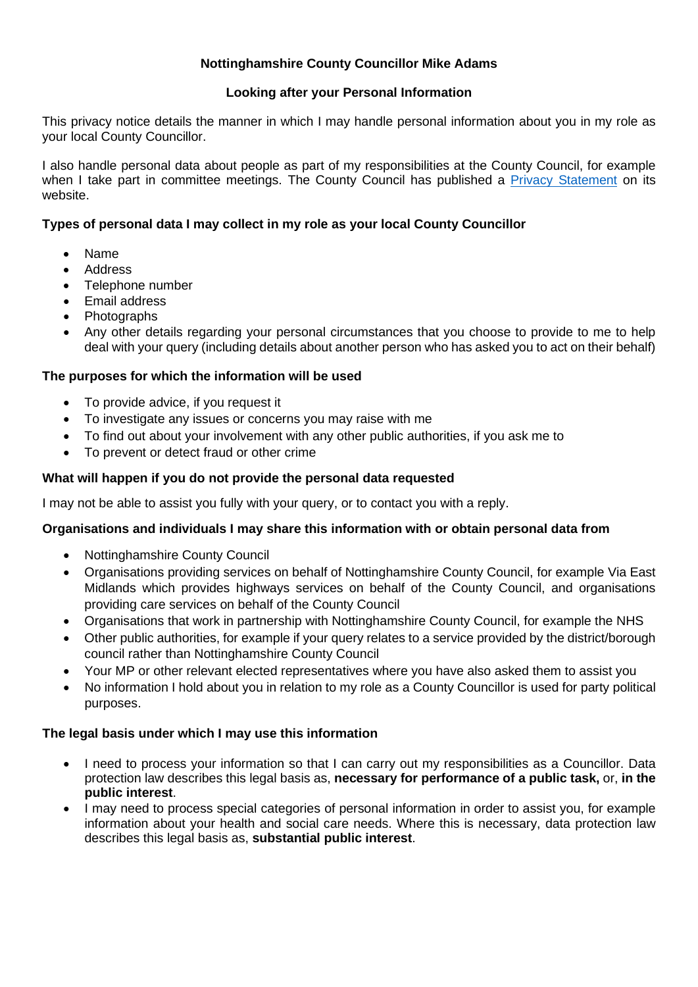# **Nottinghamshire County Councillor Mike Adams**

### **Looking after your Personal Information**

This privacy notice details the manner in which I may handle personal information about you in my role as your local County Councillor.

I also handle personal data about people as part of my responsibilities at the County Council, for example when I take part in committee meetings. The County Council has published a [Privacy Statement](http://www.nottinghamshire.gov.uk/global-content/privacy) on its website.

## **Types of personal data I may collect in my role as your local County Councillor**

- Name
- Address
- Telephone number
- Email address
- Photographs
- Any other details regarding your personal circumstances that you choose to provide to me to help deal with your query (including details about another person who has asked you to act on their behalf)

### **The purposes for which the information will be used**

- To provide advice, if you request it
- To investigate any issues or concerns you may raise with me
- To find out about your involvement with any other public authorities, if you ask me to
- To prevent or detect fraud or other crime

### **What will happen if you do not provide the personal data requested**

I may not be able to assist you fully with your query, or to contact you with a reply.

### **Organisations and individuals I may share this information with or obtain personal data from**

- Nottinghamshire County Council
- Organisations providing services on behalf of Nottinghamshire County Council, for example Via East Midlands which provides highways services on behalf of the County Council, and organisations providing care services on behalf of the County Council
- Organisations that work in partnership with Nottinghamshire County Council, for example the NHS
- Other public authorities, for example if your query relates to a service provided by the district/borough council rather than Nottinghamshire County Council
- Your MP or other relevant elected representatives where you have also asked them to assist you
- No information I hold about you in relation to my role as a County Councillor is used for party political purposes.

### **The legal basis under which I may use this information**

- I need to process your information so that I can carry out my responsibilities as a Councillor. Data protection law describes this legal basis as, **necessary for performance of a public task,** or, **in the public interest**.
- I may need to process special categories of personal information in order to assist you, for example information about your health and social care needs. Where this is necessary, data protection law describes this legal basis as, **substantial public interest**.